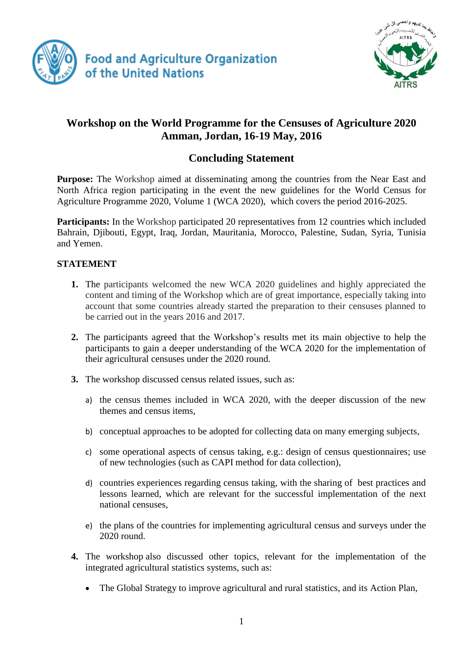



## **Workshop on the World Programme for the Censuses of Agriculture 2020 Amman, Jordan, 16-19 May, 2016**

## **Concluding Statement**

**Purpose:** The Workshop aimed at disseminating among the countries from the Near East and North Africa region participating in the event the new guidelines for the World Census for Agriculture Programme 2020, Volume 1 (WCA 2020), which covers the period 2016-2025.

**Participants:** In the Workshop participated 20 representatives from 12 countries which included Bahrain, Djibouti, Egypt, Iraq, Jordan, Mauritania, Morocco, Palestine, Sudan, Syria, Tunisia and Yemen.

## **STATEMENT**

- **1.** The participants welcomed the new WCA 2020 guidelines and highly appreciated the content and timing of the Workshop which are of great importance, especially taking into account that some countries already started the preparation to their censuses planned to be carried out in the years 2016 and 2017.
- **2.** The participants agreed that the Workshop's results met its main objective to help the participants to gain a deeper understanding of the WCA 2020 for the implementation of their agricultural censuses under the 2020 round.
- **3.** The workshop discussed census related issues, such as:
	- a) the census themes included in WCA 2020, with the deeper discussion of the new themes and census items,
	- b) conceptual approaches to be adopted for collecting data on many emerging subjects,
	- c) some operational aspects of census taking, e.g.: design of census questionnaires; use of new technologies (such as CAPI method for data collection),
	- d) countries experiences regarding census taking, with the sharing of best practices and lessons learned, which are relevant for the successful implementation of the next national censuses,
	- e) the plans of the countries for implementing agricultural census and surveys under the 2020 round.
- **4.** The workshop also discussed other topics, relevant for the implementation of the integrated agricultural statistics systems, such as:
	- The Global Strategy to improve agricultural and rural statistics, and its Action Plan,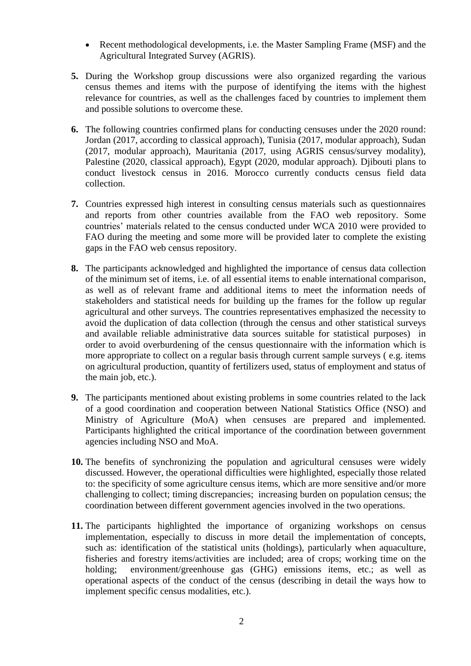- Recent methodological developments, i.e. the Master Sampling Frame (MSF) and the Agricultural Integrated Survey (AGRIS).
- **5.** During the Workshop group discussions were also organized regarding the various census themes and items with the purpose of identifying the items with the highest relevance for countries, as well as the challenges faced by countries to implement them and possible solutions to overcome these.
- **6.** The following countries confirmed plans for conducting censuses under the 2020 round: Jordan (2017, according to classical approach), Tunisia (2017, modular approach), Sudan (2017, modular approach), Mauritania (2017, using AGRIS census/survey modality), Palestine (2020, classical approach), Egypt (2020, modular approach). Djibouti plans to conduct livestock census in 2016. Morocco currently conducts census field data collection.
- **7.** Countries expressed high interest in consulting census materials such as questionnaires and reports from other countries available from the FAO web repository. Some countries' materials related to the census conducted under WCA 2010 were provided to FAO during the meeting and some more will be provided later to complete the existing gaps in the FAO web census repository.
- **8.** The participants acknowledged and highlighted the importance of census data collection of the minimum set of items, i.e. of all essential items to enable international comparison, as well as of relevant frame and additional items to meet the information needs of stakeholders and statistical needs for building up the frames for the follow up regular agricultural and other surveys. The countries representatives emphasized the necessity to avoid the duplication of data collection (through the census and other statistical surveys and available reliable administrative data sources suitable for statistical purposes) in order to avoid overburdening of the census questionnaire with the information which is more appropriate to collect on a regular basis through current sample surveys ( e.g. items on agricultural production, quantity of fertilizers used, status of employment and status of the main job, etc.).
- **9.** The participants mentioned about existing problems in some countries related to the lack of a good coordination and cooperation between National Statistics Office (NSO) and Ministry of Agriculture (MoA) when censuses are prepared and implemented. Participants highlighted the critical importance of the coordination between government agencies including NSO and MoA.
- **10.** The benefits of synchronizing the population and agricultural censuses were widely discussed. However, the operational difficulties were highlighted, especially those related to: the specificity of some agriculture census items, which are more sensitive and/or more challenging to collect; timing discrepancies; increasing burden on population census; the coordination between different government agencies involved in the two operations.
- **11.** The participants highlighted the importance of organizing workshops on census implementation, especially to discuss in more detail the implementation of concepts, such as: identification of the statistical units (holdings), particularly when aquaculture, fisheries and forestry items/activities are included; area of crops; working time on the holding; environment/greenhouse gas (GHG) emissions items, etc.; as well as operational aspects of the conduct of the census (describing in detail the ways how to implement specific census modalities, etc.).